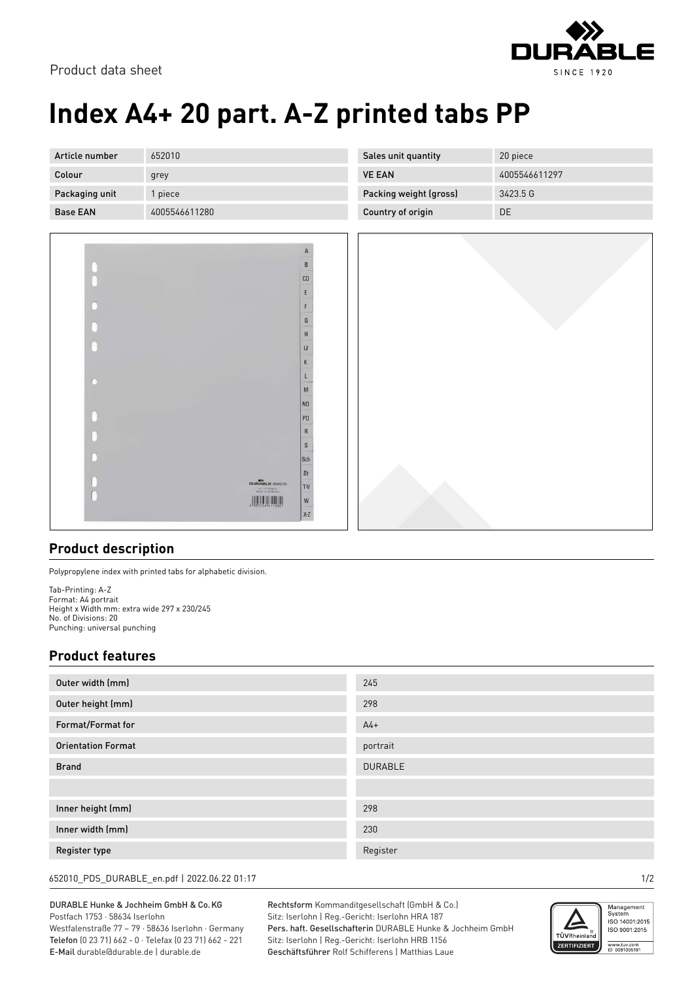

Product data sheet

# **Index A4+ 20 part. A-Z printed tabs PP**

| Article number  | 652010        | Sales unit quantity    | 20 piece      |
|-----------------|---------------|------------------------|---------------|
| Colour          | grey          | <b>VE EAN</b>          | 4005546611297 |
| Packaging unit  | l piece       | Packing weight (gross) | 3423.5 G      |
| <b>Base EAN</b> | 4005546611280 | Country of origin      | DE            |



### **Product description**

Polypropylene index with printed tabs for alphabetic division.

Tab-Printing: A-Z Format: A4 portrait Height x Width mm: extra wide 297 x 230/245 No. of Divisions: 20 Punching: universal punching

#### **Product features**

| Outer width (mm)          | 245            |
|---------------------------|----------------|
| Outer height (mm)         | 298            |
| Format/Format for         | $A4+$          |
| <b>Orientation Format</b> | portrait       |
| <b>Brand</b>              | <b>DURABLE</b> |
|                           |                |
| Inner height (mm)         | 298            |
| Inner width (mm)          | 230            |
| Register type             | Register       |

652010\_PDS\_DURABLE\_en.pdf | 2022.06.22 01:17 1/2

#### DURABLE Hunke & Jochheim GmbH & Co.KG Postfach 1753 · 58634 Iserlohn

Westfalenstraße 77 – 79 · 58636 Iserlohn · Germany Telefon (0 23 71) 662 - 0 · Telefax (0 23 71) 662 - 221 E-Mail durable@durable.de | durable.de

Rechtsform Kommanditgesellschaft (GmbH & Co.) Sitz: Iserlohn | Reg.-Gericht: Iserlohn HRA 187 Pers. haft. Gesellschafterin DURABLE Hunke & Jochheim GmbH Sitz: Iserlohn | Reg.-Gericht: Iserlohn HRB 1156 Geschäftsführer Rolf Schifferens | Matthias Laue